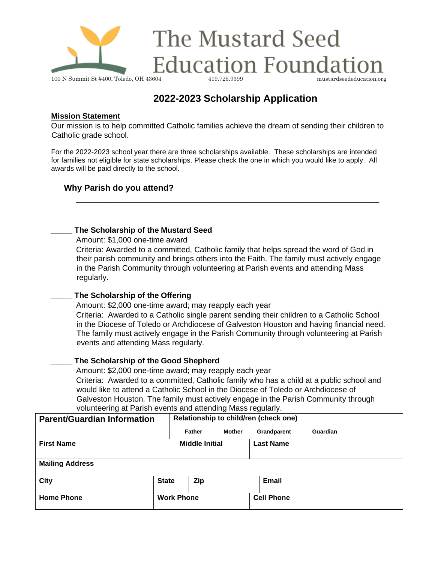

# **2022-2023 Scholarship Application**

#### **Mission Statement**

Our mission is to help committed Catholic families achieve the dream of sending their children to Catholic grade school.

For the 2022-2023 school year there are three scholarships available. These scholarships are intended for families not eligible for state scholarships. Please check the one in which you would like to apply. All awards will be paid directly to the school.

# **Why Parish do you attend?**

#### **\_\_\_\_\_ The Scholarship of the Mustard Seed**

Amount: \$1,000 one-time award

Criteria: Awarded to a committed, Catholic family that helps spread the word of God in their parish community and brings others into the Faith. The family must actively engage in the Parish Community through volunteering at Parish events and attending Mass regularly.

**\_\_\_\_\_\_\_\_\_\_\_\_\_\_\_\_\_\_\_\_\_\_\_\_\_\_\_\_\_\_\_\_\_\_\_\_\_\_\_\_\_\_\_\_\_\_\_\_\_\_\_\_\_\_\_\_\_\_\_\_\_\_\_\_** 

## **\_\_\_\_\_ The Scholarship of the Offering**

Amount: \$2,000 one-time award; may reapply each year Criteria: Awarded to a Catholic single parent sending their children to a Catholic School in the Diocese of Toledo or Archdiocese of Galveston Houston and having financial need. The family must actively engage in the Parish Community through volunteering at Parish events and attending Mass regularly.

## **\_\_\_\_\_ The Scholarship of the Good Shepherd**

Amount: \$2,000 one-time award; may reapply each year Criteria: Awarded to a committed, Catholic family who has a child at a public school and would like to attend a Catholic School in the Diocese of Toledo or Archdiocese of Galveston Houston. The family must actively engage in the Parish Community through volunteering at Parish events and attending Mass regularly.

| <b>Parent/Guardian Information</b> |              | Relationship to child/ren (check one) |        |                   |                                |  |  |  |
|------------------------------------|--------------|---------------------------------------|--------|-------------------|--------------------------------|--|--|--|
|                                    |              | Father                                | Mother |                   | <b>Grandparent</b><br>Guardian |  |  |  |
| <b>First Name</b>                  |              | <b>Middle Initial</b>                 |        |                   | <b>Last Name</b>               |  |  |  |
|                                    |              |                                       |        |                   |                                |  |  |  |
| <b>Mailing Address</b>             |              |                                       |        |                   |                                |  |  |  |
| City                               | <b>State</b> | <b>Zip</b>                            |        |                   | Email                          |  |  |  |
| <b>Home Phone</b>                  |              | <b>Work Phone</b>                     |        | <b>Cell Phone</b> |                                |  |  |  |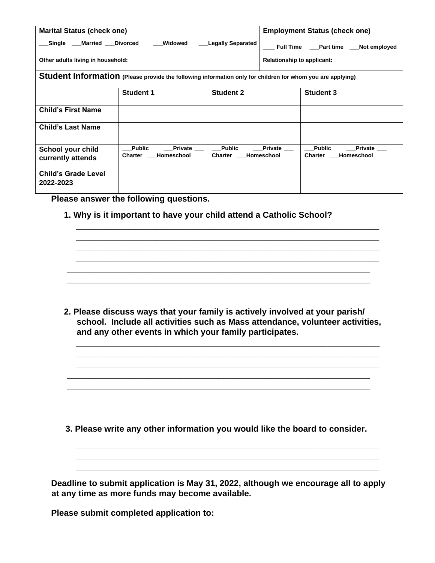| <b>Marital Status (check one)</b>                                                                          |                                                          | <b>Employment Status (check one)</b>       |                              |                                                          |  |  |  |  |
|------------------------------------------------------------------------------------------------------------|----------------------------------------------------------|--------------------------------------------|------------------------------|----------------------------------------------------------|--|--|--|--|
| Single Married Divorced                                                                                    | Widowed<br><b>Legally Separated</b>                      | Full Time ____ Part time ____ Not employed |                              |                                                          |  |  |  |  |
| Other adults living in household:                                                                          |                                                          | <b>Relationship to applicant:</b>          |                              |                                                          |  |  |  |  |
| Student Information (Please provide the following information only for children for whom you are applying) |                                                          |                                            |                              |                                                          |  |  |  |  |
|                                                                                                            | <b>Student 1</b>                                         | <b>Student 2</b>                           |                              | <b>Student 3</b>                                         |  |  |  |  |
| <b>Child's First Name</b>                                                                                  |                                                          |                                            |                              |                                                          |  |  |  |  |
| <b>Child's Last Name</b>                                                                                   |                                                          |                                            |                              |                                                          |  |  |  |  |
| School your child<br>currently attends                                                                     | <b>Public</b><br>Private<br>Charter $\_\_$<br>Homeschool | <b>Public</b><br><b>Charter</b>            | <b>Private</b><br>Homeschool | <b>Public</b><br><b>Private</b><br>Charter<br>Homeschool |  |  |  |  |
| <b>Child's Grade Level</b><br>2022-2023                                                                    |                                                          |                                            |                              |                                                          |  |  |  |  |

**Please answer the following questions.** 

**1. Why is it important to have your child attend a Catholic School?**

**2. Please discuss ways that your family is actively involved at your parish/ school. Include all activities such as Mass attendance, volunteer activities, and any other events in which your family participates.** 

**\_\_\_\_\_\_\_\_\_\_\_\_\_\_\_\_\_\_\_\_\_\_\_\_\_\_\_\_\_\_\_\_\_\_\_\_\_\_\_\_\_\_\_\_\_\_\_\_\_\_\_\_\_\_\_\_\_\_\_\_\_\_\_\_ \_\_\_\_\_\_\_\_\_\_\_\_\_\_\_\_\_\_\_\_\_\_\_\_\_\_\_\_\_\_\_\_\_\_\_\_\_\_\_\_\_\_\_\_\_\_\_\_\_\_\_\_\_\_\_\_\_\_\_\_\_\_\_\_ \_\_\_\_\_\_\_\_\_\_\_\_\_\_\_\_\_\_\_\_\_\_\_\_\_\_\_\_\_\_\_\_\_\_\_\_\_\_\_\_\_\_\_\_\_\_\_\_\_\_\_\_\_\_\_\_\_\_\_\_\_\_\_\_** 

**\_\_\_\_\_\_\_\_\_\_\_\_\_\_\_\_\_\_\_\_\_\_\_\_\_\_\_\_\_\_\_\_\_\_\_\_\_\_\_\_\_\_\_\_\_\_\_\_\_\_\_\_\_\_\_\_\_\_\_\_\_\_\_\_ \_\_\_\_\_\_\_\_\_\_\_\_\_\_\_\_\_\_\_\_\_\_\_\_\_\_\_\_\_\_\_\_\_\_\_\_\_\_\_\_\_\_\_\_\_\_\_\_\_\_\_\_\_\_\_\_\_\_\_\_\_\_\_\_**

**\_\_\_\_\_\_\_\_\_\_\_\_\_\_\_\_\_\_\_\_\_\_\_\_\_\_\_\_\_\_\_\_\_\_\_\_\_\_\_\_\_\_\_\_\_\_\_\_\_\_\_\_\_\_\_\_\_\_\_\_\_\_\_\_ \_\_\_\_\_\_\_\_\_\_\_\_\_\_\_\_\_\_\_\_\_\_\_\_\_\_\_\_\_\_\_\_\_\_\_\_\_\_\_\_\_\_\_\_\_\_\_\_\_\_\_\_\_\_\_\_\_\_\_\_\_\_\_\_ \_\_\_\_\_\_\_\_\_\_\_\_\_\_\_\_\_\_\_\_\_\_\_\_\_\_\_\_\_\_\_\_\_\_\_\_\_\_\_\_\_\_\_\_\_\_\_\_\_\_\_\_\_\_\_\_\_\_\_\_\_\_\_\_ \_\_\_\_\_\_\_\_\_\_\_\_\_\_\_\_\_\_\_\_\_\_\_\_\_\_\_\_\_\_\_\_\_\_\_\_\_\_\_\_\_\_\_\_\_\_\_\_\_\_\_\_\_\_\_\_\_\_\_\_\_\_\_\_** 

**3. Please write any other information you would like the board to consider.**

**\_\_\_\_\_\_\_\_\_\_\_\_\_\_\_\_\_\_\_\_\_\_\_\_\_\_\_\_\_\_\_\_\_\_\_\_\_\_\_\_\_\_\_\_\_\_\_\_\_\_\_\_\_\_\_\_\_\_\_\_\_\_\_\_ \_\_\_\_\_\_\_\_\_\_\_\_\_\_\_\_\_\_\_\_\_\_\_\_\_\_\_\_\_\_\_\_\_\_\_\_\_\_\_\_\_\_\_\_\_\_\_\_\_\_\_\_\_\_\_\_\_\_\_\_\_\_\_\_ \_\_\_\_\_\_\_\_\_\_\_\_\_\_\_\_\_\_\_\_\_\_\_\_\_\_\_\_\_\_\_\_\_\_\_\_\_\_\_\_\_\_\_\_\_\_\_\_\_\_\_\_\_\_\_\_\_\_\_\_\_\_\_\_**

**\_\_\_\_\_\_\_\_\_\_\_\_\_\_\_\_\_\_\_\_\_\_\_\_\_\_\_\_\_\_\_\_\_\_\_\_\_\_\_\_\_\_\_\_\_\_\_\_\_\_\_\_\_\_\_\_\_\_\_\_\_\_\_\_ \_\_\_\_\_\_\_\_\_\_\_\_\_\_\_\_\_\_\_\_\_\_\_\_\_\_\_\_\_\_\_\_\_\_\_\_\_\_\_\_\_\_\_\_\_\_\_\_\_\_\_\_\_\_\_\_\_\_\_\_\_\_\_\_**

**Deadline to submit application is May 31, 2022, although we encourage all to apply at any time as more funds may become available.** 

**Please submit completed application to:**